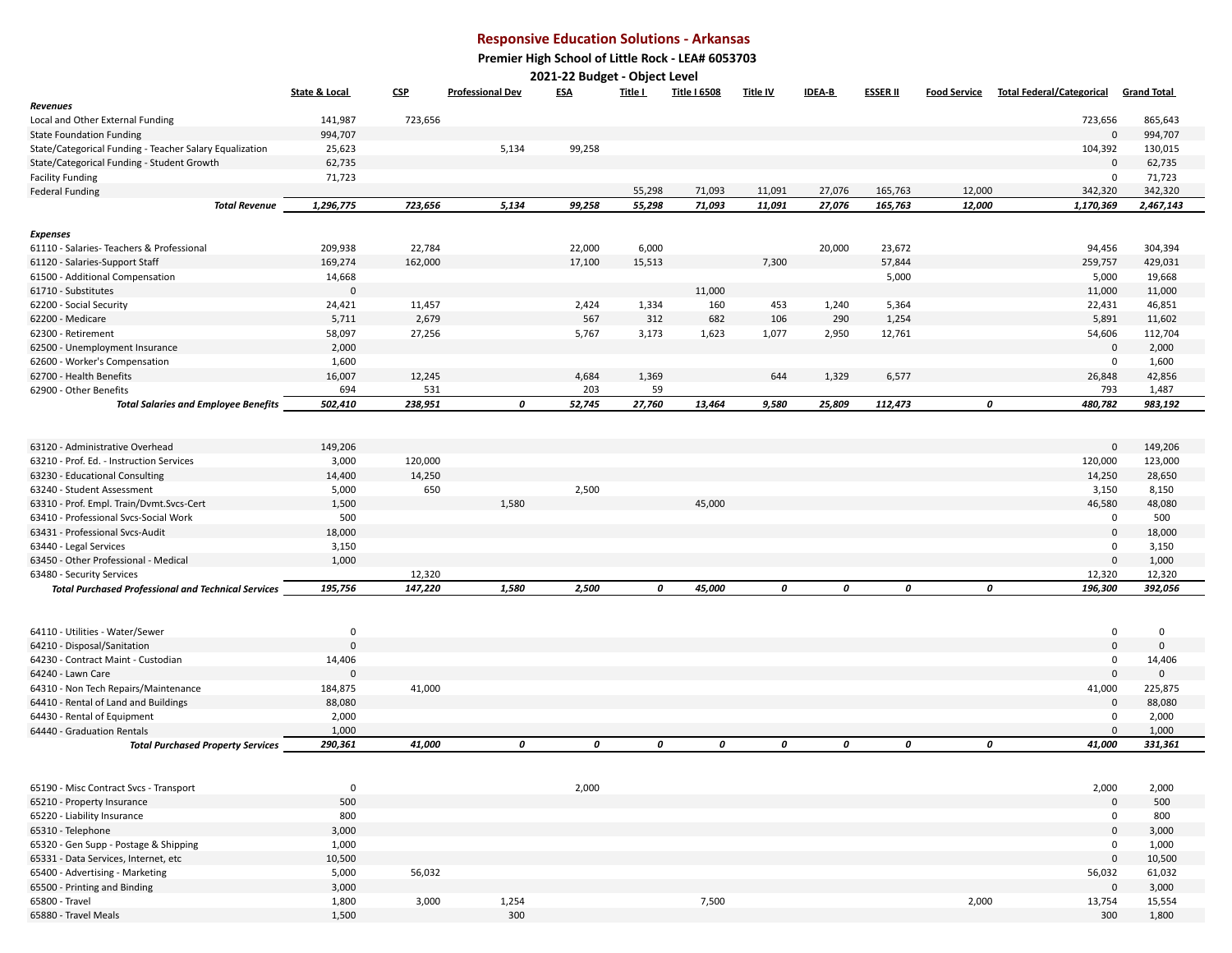## **Responsive Education Solutions - Arkansas**

 **Premier High School of Little Rock - LEA# 6053703**

**2021-22 Budget - Object Level** 

|                                                                       | <b>State &amp; Local</b> | CSP            | <b>Professional Dev</b> | <b>ESA</b>   | Title I     | <b>Title I 6508</b> | <b>Title IV</b> | <b>IDEA-B</b> | <b>ESSER II</b> | <b>Food Service</b> | <b>Total Federal/Categorical</b> | <b>Grand Total</b> |
|-----------------------------------------------------------------------|--------------------------|----------------|-------------------------|--------------|-------------|---------------------|-----------------|---------------|-----------------|---------------------|----------------------------------|--------------------|
| <b>Revenues</b>                                                       |                          |                |                         |              |             |                     |                 |               |                 |                     |                                  |                    |
| Local and Other External Funding                                      | 141,987                  | 723,656        |                         |              |             |                     |                 |               |                 |                     | 723,656                          | 865,643            |
| <b>State Foundation Funding</b>                                       | 994,707                  |                |                         |              |             |                     |                 |               |                 |                     | $\mathbf 0$                      | 994,707            |
| State/Categorical Funding - Teacher Salary Equalization               | 25,623                   |                | 5,134                   | 99,258       |             |                     |                 |               |                 |                     | 104,392                          | 130,015            |
| State/Categorical Funding - Student Growth                            | 62,735                   |                |                         |              |             |                     |                 |               |                 |                     | $\Omega$                         | 62,735             |
| <b>Facility Funding</b>                                               | 71,723                   |                |                         |              |             |                     |                 |               |                 |                     | $\mathbf 0$                      | 71,723             |
| <b>Federal Funding</b>                                                |                          |                |                         |              | 55,298      | 71,093              | 11,091          | 27,076        | 165,763         | 12,000              | 342,320                          | 342,320            |
| <b>Total Revenue</b>                                                  | 1,296,775                | 723,656        | 5,134                   | 99,258       | 55,298      | 71,093              | 11,091          | 27,076        | 165,763         | 12,000              | 1,170,369                        | 2,467,143          |
| <b>Expenses</b>                                                       |                          |                |                         |              |             |                     |                 |               |                 |                     |                                  |                    |
| 61110 - Salaries- Teachers & Professional                             | 209,938                  | 22,784         |                         | 22,000       | 6,000       |                     |                 | 20,000        | 23,672          |                     | 94,456                           | 304,394            |
| 61120 - Salaries-Support Staff                                        | 169,274                  | 162,000        |                         | 17,100       | 15,513      |                     | 7,300           |               | 57,844          |                     | 259,757                          | 429,031            |
| 61500 - Additional Compensation                                       | 14,668                   |                |                         |              |             |                     |                 |               | 5,000           |                     | 5,000                            | 19,668             |
| 61710 - Substitutes                                                   | $\Omega$                 |                |                         |              |             | 11,000              |                 |               |                 |                     | 11,000                           | 11,000             |
|                                                                       | 24,421                   | 11,457         |                         | 2,424        | 1,334       | 160                 | 453             | 1,240         | 5,364           |                     | 22,431                           | 46,851             |
| 62200 - Social Security<br>62200 - Medicare                           | 5,711                    | 2,679          |                         | 567          | 312         | 682                 | 106             | 290           | 1,254           |                     | 5,891                            | 11,602             |
| 62300 - Retirement                                                    |                          |                |                         |              |             |                     |                 |               |                 |                     |                                  |                    |
|                                                                       | 58,097<br>2,000          | 27,256         |                         | 5,767        | 3,173       | 1,623               | 1,077           | 2,950         | 12,761          |                     | 54,606<br>$\mathbf 0$            | 112,704            |
| 62500 - Unemployment Insurance                                        |                          |                |                         |              |             |                     |                 |               |                 |                     | $\mathbf 0$                      | 2,000              |
| 62600 - Worker's Compensation                                         | 1,600                    |                |                         |              |             |                     |                 |               |                 |                     |                                  | 1,600              |
| 62700 - Health Benefits                                               | 16,007<br>694            | 12,245         |                         | 4,684<br>203 | 1,369<br>59 |                     | 644             | 1,329         | 6,577           |                     | 26,848<br>793                    | 42,856<br>1,487    |
| 62900 - Other Benefits<br><b>Total Salaries and Employee Benefits</b> | 502,410                  | 531<br>238,951 | 0                       | 52,745       | 27,760      | 13,464              | 9,580           | 25,809        | 112,473         | 0                   | 480,782                          | 983,192            |
|                                                                       |                          |                |                         |              |             |                     |                 |               |                 |                     |                                  |                    |
|                                                                       |                          |                |                         |              |             |                     |                 |               |                 |                     |                                  |                    |
| 63120 - Administrative Overhead                                       | 149,206                  |                |                         |              |             |                     |                 |               |                 |                     | $\mathbf 0$                      | 149,206            |
| 63210 - Prof. Ed. - Instruction Services                              | 3,000                    | 120,000        |                         |              |             |                     |                 |               |                 |                     | 120,000                          | 123,000            |
| 63230 - Educational Consulting                                        | 14,400                   | 14,250         |                         |              |             |                     |                 |               |                 |                     | 14,250                           | 28,650             |
| 63240 - Student Assessment                                            | 5,000                    | 650            |                         | 2,500        |             |                     |                 |               |                 |                     | 3,150                            | 8,150              |
| 63310 - Prof. Empl. Train/Dvmt.Svcs-Cert                              | 1,500                    |                | 1,580                   |              |             | 45,000              |                 |               |                 |                     | 46,580                           | 48,080             |
| 63410 - Professional Svcs-Social Work                                 | 500                      |                |                         |              |             |                     |                 |               |                 |                     | 0                                | 500                |
| 63431 - Professional Svcs-Audit                                       | 18,000                   |                |                         |              |             |                     |                 |               |                 |                     | $\mathbf 0$                      | 18,000             |
| 63440 - Legal Services                                                | 3,150                    |                |                         |              |             |                     |                 |               |                 |                     | $\Omega$                         | 3,150              |
| 63450 - Other Professional - Medical                                  | 1,000                    |                |                         |              |             |                     |                 |               |                 |                     | $\Omega$                         | 1,000              |
| 63480 - Security Services                                             |                          | 12,320         |                         |              |             |                     |                 |               |                 |                     | 12,320                           | 12,320             |
| <b>Total Purchased Professional and Technical Services</b>            | 195,756                  | 147,220        | 1,580                   | 2,500        | 0           | 45,000              | 0               | 0             | 0               | 0                   | 196,300                          | 392,056            |
|                                                                       |                          |                |                         |              |             |                     |                 |               |                 |                     |                                  |                    |
|                                                                       |                          |                |                         |              |             |                     |                 |               |                 |                     |                                  |                    |
| 64110 - Utilities - Water/Sewer                                       | $\mathbf 0$<br>$\Omega$  |                |                         |              |             |                     |                 |               |                 |                     | $\mathbf 0$<br>$\Omega$          | $\mathbf 0$        |
| 64210 - Disposal/Sanitation                                           |                          |                |                         |              |             |                     |                 |               |                 |                     |                                  | $\mathsf 0$        |
| 64230 - Contract Maint - Custodian                                    | 14,406                   |                |                         |              |             |                     |                 |               |                 |                     | 0                                | 14,406             |
| 64240 - Lawn Care                                                     |                          |                |                         |              |             |                     |                 |               |                 |                     | $\mathbf{0}$                     | $\mathbf{0}$       |
| 64310 - Non Tech Repairs/Maintenance                                  | 184,875                  | 41,000         |                         |              |             |                     |                 |               |                 |                     | 41,000                           | 225,875            |
| 64410 - Rental of Land and Buildings                                  | 88,080                   |                |                         |              |             |                     |                 |               |                 |                     | $\mathbf 0$                      | 88,080             |
| 64430 - Rental of Equipment                                           | 2,000                    |                |                         |              |             |                     |                 |               |                 |                     | 0<br>$\Omega$                    | 2,000              |
| 64440 - Graduation Rentals                                            | 1,000                    |                |                         |              |             |                     |                 |               |                 |                     |                                  | 1,000              |
| <b>Total Purchased Property Services</b>                              | 290,361                  | 41,000         | 0                       | 0            | 0           | 0                   | 0               | 0             | 0               | 0                   | 41,000                           | 331,361            |
|                                                                       |                          |                |                         |              |             |                     |                 |               |                 |                     |                                  |                    |
| 65190 - Misc Contract Svcs - Transport                                | $\mathbf 0$              |                |                         | 2,000        |             |                     |                 |               |                 |                     | 2,000                            | 2,000              |
| 65210 - Property Insurance                                            | 500                      |                |                         |              |             |                     |                 |               |                 |                     | $\mathbf 0$                      | 500                |
| 65220 - Liability Insurance                                           | 800                      |                |                         |              |             |                     |                 |               |                 |                     | $\mathbf 0$                      | 800                |
| 65310 - Telephone                                                     | 3,000                    |                |                         |              |             |                     |                 |               |                 |                     | $\mathbf 0$                      | 3,000              |
| 65320 - Gen Supp - Postage & Shipping                                 | 1,000                    |                |                         |              |             |                     |                 |               |                 |                     | $\Omega$                         | 1,000              |
| 65331 - Data Services, Internet, etc                                  | 10,500                   |                |                         |              |             |                     |                 |               |                 |                     | $\Omega$                         | 10,500             |
| 65400 - Advertising - Marketing                                       | 5,000                    | 56,032         |                         |              |             |                     |                 |               |                 |                     | 56,032                           | 61,032             |
| 65500 - Printing and Binding                                          | 3,000                    |                |                         |              |             |                     |                 |               |                 |                     | $\Omega$                         | 3,000              |

65800 - Travel 1,800 3,000 1,254 7,500 2,000 13,754 15,554 65880 - Travel Meals 1,500 300 300 1,800